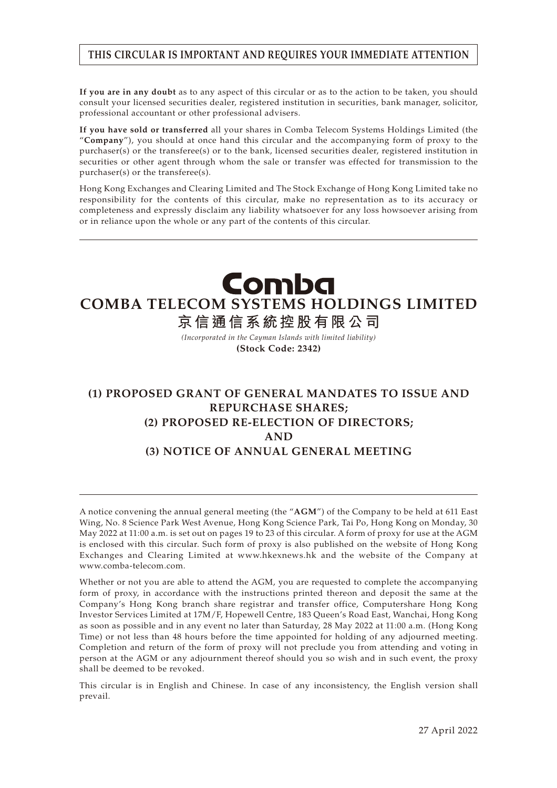#### **THIS CIRCULAR IS IMPORTANT AND REQUIRES YOUR IMMEDIATE ATTENTION**

**If you are in any doubt** as to any aspect of this circular or as to the action to be taken, you should consult your licensed securities dealer, registered institution in securities, bank manager, solicitor, professional accountant or other professional advisers.

**If you have sold or transferred** all your shares in Comba Telecom Systems Holdings Limited (the "**Company**"), you should at once hand this circular and the accompanying form of proxy to the purchaser(s) or the transferee(s) or to the bank, licensed securities dealer, registered institution in securities or other agent through whom the sale or transfer was effected for transmission to the purchaser(s) or the transferee(s).

Hong Kong Exchanges and Clearing Limited and The Stock Exchange of Hong Kong Limited take no responsibility for the contents of this circular, make no representation as to its accuracy or completeness and expressly disclaim any liability whatsoever for any loss howsoever arising from or in reliance upon the whole or any part of the contents of this circular.

# Comba **COMBA TELECOM SYSTEMS HOLDINGS LIMITED**

**京信通信系統控股有限公司**

*(Incorporated in the Cayman Islands with limited liability)* **(Stock Code: 2342)**

## **(1) PROPOSED GRANT OF GENERAL MANDATES TO ISSUE AND REPURCHASE SHARES; (2) PROPOSED RE-ELECTION OF DIRECTORS; AND (3) NOTICE OF ANNUAL GENERAL MEETING**

A notice convening the annual general meeting (the "**AGM**") of the Company to be held at 611 East Wing, No. 8 Science Park West Avenue, Hong Kong Science Park, Tai Po, Hong Kong on Monday, 30 May 2022 at 11:00 a.m. is set out on pages 19 to 23 of this circular. A form of proxy for use at the AGM is enclosed with this circular. Such form of proxy is also published on the website of Hong Kong Exchanges and Clearing Limited at www.hkexnews.hk and the website of the Company at www.comba-telecom.com.

Whether or not you are able to attend the AGM, you are requested to complete the accompanying form of proxy, in accordance with the instructions printed thereon and deposit the same at the Company's Hong Kong branch share registrar and transfer office, Computershare Hong Kong Investor Services Limited at 17M/F, Hopewell Centre, 183 Queen's Road East, Wanchai, Hong Kong as soon as possible and in any event no later than Saturday, 28 May 2022 at 11:00 a.m. (Hong Kong Time) or not less than 48 hours before the time appointed for holding of any adjourned meeting. Completion and return of the form of proxy will not preclude you from attending and voting in person at the AGM or any adjournment thereof should you so wish and in such event, the proxy shall be deemed to be revoked.

This circular is in English and Chinese. In case of any inconsistency, the English version shall prevail.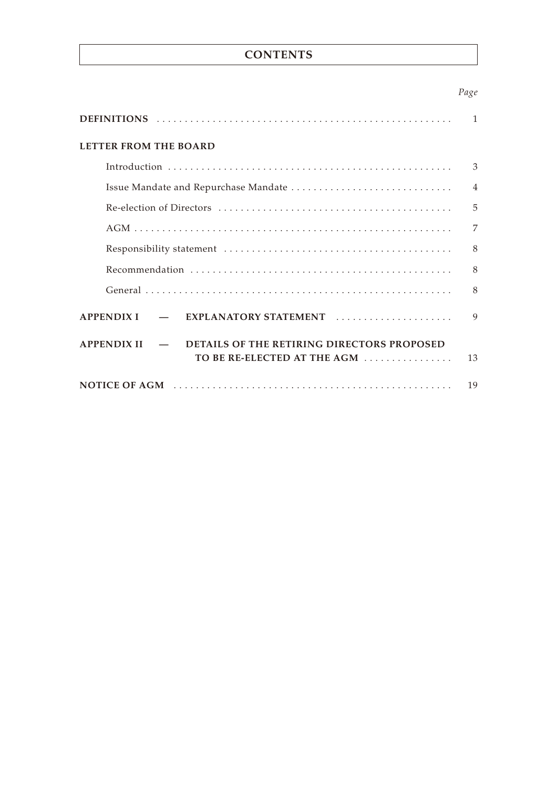### **CONTENTS**

#### *Page*

|                                                                                                                  | 1              |
|------------------------------------------------------------------------------------------------------------------|----------------|
| <b>LETTER FROM THE BOARD</b>                                                                                     |                |
|                                                                                                                  | 3              |
|                                                                                                                  | $\overline{4}$ |
|                                                                                                                  | 5              |
|                                                                                                                  | 7              |
|                                                                                                                  | 8              |
|                                                                                                                  | 8              |
|                                                                                                                  | 8              |
| EXPLANATORY STATEMENT<br><b>APPENDIX I</b>                                                                       | $\mathbf Q$    |
| DETAILS OF THE RETIRING DIRECTORS PROPOSED<br><b>APPENDIX II</b><br>$\sim$ $\sim$<br>TO BE RE-ELECTED AT THE AGM | 13             |
|                                                                                                                  | 19             |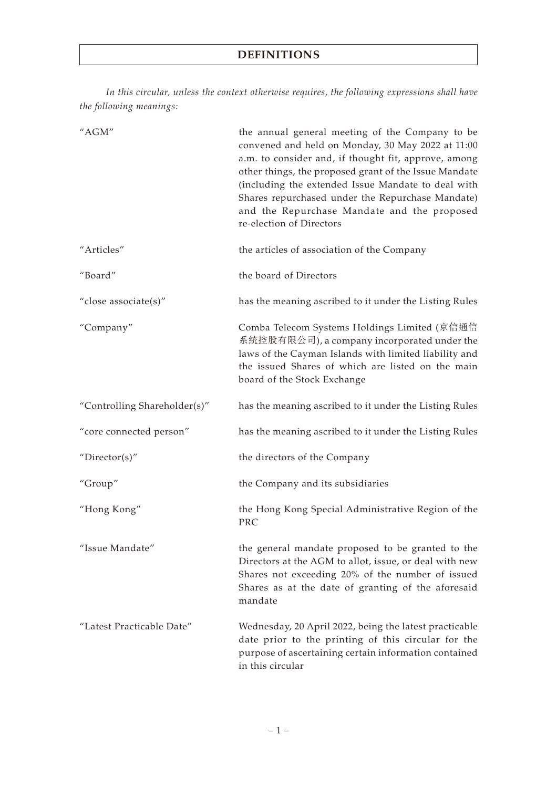*In this circular, unless the context otherwise requires, the following expressions shall have the following meanings:*

| "AGM"                        | the annual general meeting of the Company to be<br>convened and held on Monday, 30 May 2022 at 11:00<br>a.m. to consider and, if thought fit, approve, among<br>other things, the proposed grant of the Issue Mandate<br>(including the extended Issue Mandate to deal with<br>Shares repurchased under the Repurchase Mandate)<br>and the Repurchase Mandate and the proposed<br>re-election of Directors |
|------------------------------|------------------------------------------------------------------------------------------------------------------------------------------------------------------------------------------------------------------------------------------------------------------------------------------------------------------------------------------------------------------------------------------------------------|
| "Articles"                   | the articles of association of the Company                                                                                                                                                                                                                                                                                                                                                                 |
| "Board"                      | the board of Directors                                                                                                                                                                                                                                                                                                                                                                                     |
| "close associate(s)"         | has the meaning ascribed to it under the Listing Rules                                                                                                                                                                                                                                                                                                                                                     |
| "Company"                    | Comba Telecom Systems Holdings Limited (京信通信<br>系統控股有限公司), a company incorporated under the<br>laws of the Cayman Islands with limited liability and<br>the issued Shares of which are listed on the main<br>board of the Stock Exchange                                                                                                                                                                   |
| "Controlling Shareholder(s)" | has the meaning ascribed to it under the Listing Rules                                                                                                                                                                                                                                                                                                                                                     |
| "core connected person"      | has the meaning ascribed to it under the Listing Rules                                                                                                                                                                                                                                                                                                                                                     |
| "Director(s)"                | the directors of the Company                                                                                                                                                                                                                                                                                                                                                                               |
| "Group"                      | the Company and its subsidiaries                                                                                                                                                                                                                                                                                                                                                                           |
| "Hong Kong"                  | the Hong Kong Special Administrative Region of the<br>PRC                                                                                                                                                                                                                                                                                                                                                  |
| "Issue Mandate"              | the general mandate proposed to be granted to the<br>Directors at the AGM to allot, issue, or deal with new<br>Shares not exceeding 20% of the number of issued<br>Shares as at the date of granting of the aforesaid<br>mandate                                                                                                                                                                           |
| "Latest Practicable Date"    | Wednesday, 20 April 2022, being the latest practicable<br>date prior to the printing of this circular for the<br>purpose of ascertaining certain information contained<br>in this circular                                                                                                                                                                                                                 |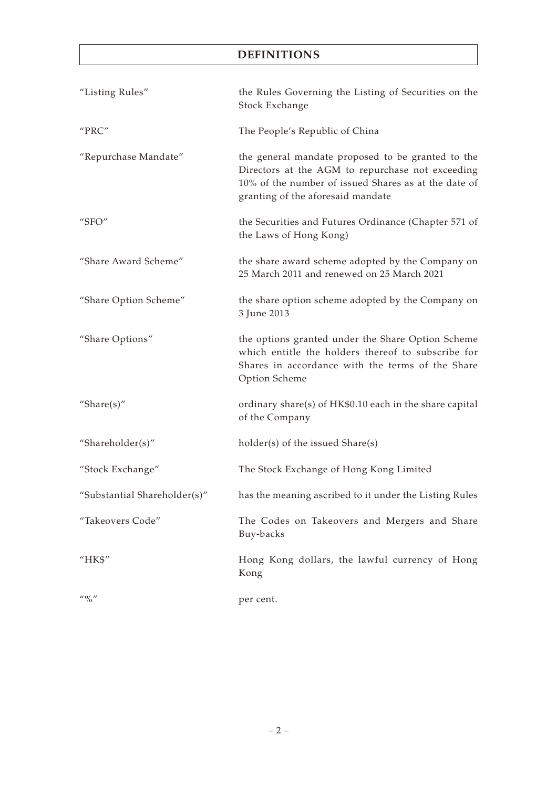## **DEFINITIONS**

| "Listing Rules"                       | the Rules Governing the Listing of Securities on the<br>Stock Exchange                                                                                                                             |
|---------------------------------------|----------------------------------------------------------------------------------------------------------------------------------------------------------------------------------------------------|
| "PRC"                                 | The People's Republic of China                                                                                                                                                                     |
| "Repurchase Mandate"                  | the general mandate proposed to be granted to the<br>Directors at the AGM to repurchase not exceeding<br>10% of the number of issued Shares as at the date of<br>granting of the aforesaid mandate |
| "SFO"                                 | the Securities and Futures Ordinance (Chapter 571 of<br>the Laws of Hong Kong)                                                                                                                     |
| "Share Award Scheme"                  | the share award scheme adopted by the Company on<br>25 March 2011 and renewed on 25 March 2021                                                                                                     |
| "Share Option Scheme"                 | the share option scheme adopted by the Company on<br>3 June 2013                                                                                                                                   |
| "Share Options"                       | the options granted under the Share Option Scheme<br>which entitle the holders thereof to subscribe for<br>Shares in accordance with the terms of the Share<br>Option Scheme                       |
| "Share $(s)$ "                        | ordinary share(s) of HK\$0.10 each in the share capital<br>of the Company                                                                                                                          |
| "Shareholder(s)"                      | holder(s) of the issued Share(s)                                                                                                                                                                   |
| "Stock Exchange"                      | The Stock Exchange of Hong Kong Limited                                                                                                                                                            |
| "Substantial Shareholder(s)"          | has the meaning ascribed to it under the Listing Rules                                                                                                                                             |
| "Takeovers Code"                      | The Codes on Takeovers and Mergers and Share<br>Buy-backs                                                                                                                                          |
| "HK\$"                                | Hong Kong dollars, the lawful currency of Hong<br>Kong                                                                                                                                             |
| $^{\prime\prime}$ ( $^{\prime\prime}$ | per cent.                                                                                                                                                                                          |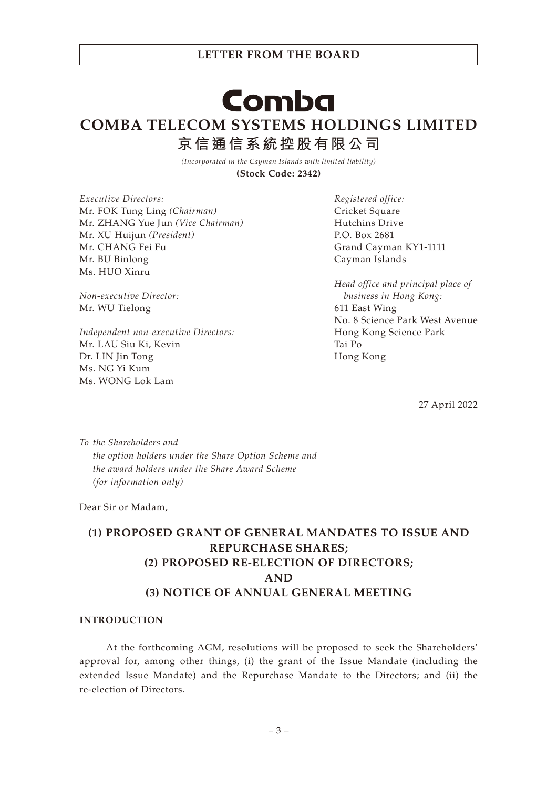*Head office and principal place of business in Hong Kong:* 611 East Wing No. 8 Science Park West Avenue Hong Kong Science Park Tai Po

Grand Cayman KY1-1111

*Registered office:* Cricket Square Hutchins Drive P.O. Box 2681

Cayman Islands

Hong Kong

27 April 2022

*To the Shareholders and the option holders under the Share Option Scheme and the award holders under the Share Award Scheme (for information only)*

Dear Sir or Madam,

## **(1) PROPOSED GRANT OF GENERAL MANDATES TO ISSUE AND REPURCHASE SHARES; (2) PROPOSED RE-ELECTION OF DIRECTORS; AND (3) NOTICE OF ANNUAL GENERAL MEETING**

#### **INTRODUCTION**

At the forthcoming AGM, resolutions will be proposed to seek the Shareholders' approval for, among other things, (i) the grant of the Issue Mandate (including the extended Issue Mandate) and the Repurchase Mandate to the Directors; and (ii) the re-election of Directors.

# Comba

**LETTER FROM THE BOARD**

**COMBA TELECOM SYSTEMS HOLDINGS LIMITED 京信通信系統控股有限公司**

> *(Incorporated in the Cayman Islands with limited liability)* **(Stock Code: 2342)**

*Executive Directors:* Mr. FOK Tung Ling *(Chairman)* Mr. ZHANG Yue Jun *(Vice Chairman)* Mr. XU Huijun *(President)* Mr. CHANG Fei Fu Mr. BU Binlong Ms. HUO Xinru

*Non-executive Director:* Mr. WU Tielong

*Independent non-executive Directors:* Mr. LAU Siu Ki, Kevin Dr. LIN Jin Tong Ms. NG Yi Kum Ms. WONG Lok Lam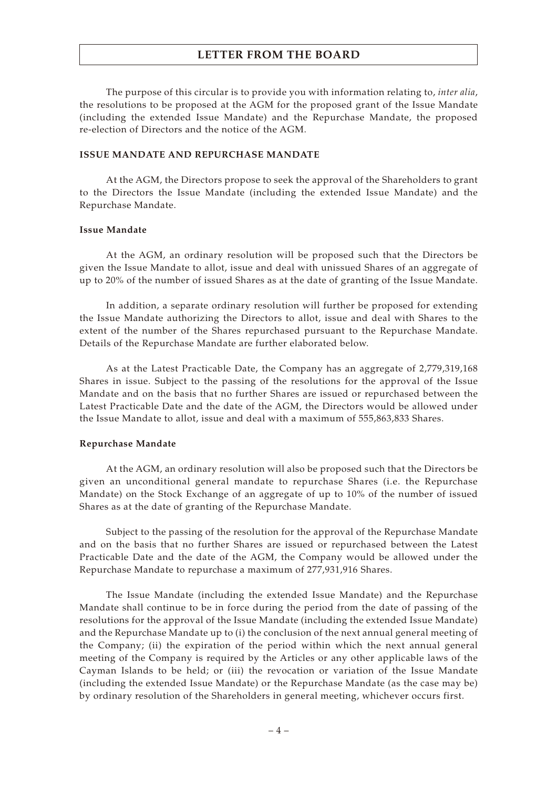The purpose of this circular is to provide you with information relating to, *inter alia*, the resolutions to be proposed at the AGM for the proposed grant of the Issue Mandate (including the extended Issue Mandate) and the Repurchase Mandate, the proposed re-election of Directors and the notice of the AGM.

#### **ISSUE MANDATE AND REPURCHASE MANDATE**

At the AGM, the Directors propose to seek the approval of the Shareholders to grant to the Directors the Issue Mandate (including the extended Issue Mandate) and the Repurchase Mandate.

#### **Issue Mandate**

At the AGM, an ordinary resolution will be proposed such that the Directors be given the Issue Mandate to allot, issue and deal with unissued Shares of an aggregate of up to 20% of the number of issued Shares as at the date of granting of the Issue Mandate.

In addition, a separate ordinary resolution will further be proposed for extending the Issue Mandate authorizing the Directors to allot, issue and deal with Shares to the extent of the number of the Shares repurchased pursuant to the Repurchase Mandate. Details of the Repurchase Mandate are further elaborated below.

As at the Latest Practicable Date, the Company has an aggregate of 2,779,319,168 Shares in issue. Subject to the passing of the resolutions for the approval of the Issue Mandate and on the basis that no further Shares are issued or repurchased between the Latest Practicable Date and the date of the AGM, the Directors would be allowed under the Issue Mandate to allot, issue and deal with a maximum of 555,863,833 Shares.

#### **Repurchase Mandate**

At the AGM, an ordinary resolution will also be proposed such that the Directors be given an unconditional general mandate to repurchase Shares (i.e. the Repurchase Mandate) on the Stock Exchange of an aggregate of up to 10% of the number of issued Shares as at the date of granting of the Repurchase Mandate.

Subject to the passing of the resolution for the approval of the Repurchase Mandate and on the basis that no further Shares are issued or repurchased between the Latest Practicable Date and the date of the AGM, the Company would be allowed under the Repurchase Mandate to repurchase a maximum of 277,931,916 Shares.

The Issue Mandate (including the extended Issue Mandate) and the Repurchase Mandate shall continue to be in force during the period from the date of passing of the resolutions for the approval of the Issue Mandate (including the extended Issue Mandate) and the Repurchase Mandate up to (i) the conclusion of the next annual general meeting of the Company; (ii) the expiration of the period within which the next annual general meeting of the Company is required by the Articles or any other applicable laws of the Cayman Islands to be held; or (iii) the revocation or variation of the Issue Mandate (including the extended Issue Mandate) or the Repurchase Mandate (as the case may be) by ordinary resolution of the Shareholders in general meeting, whichever occurs first.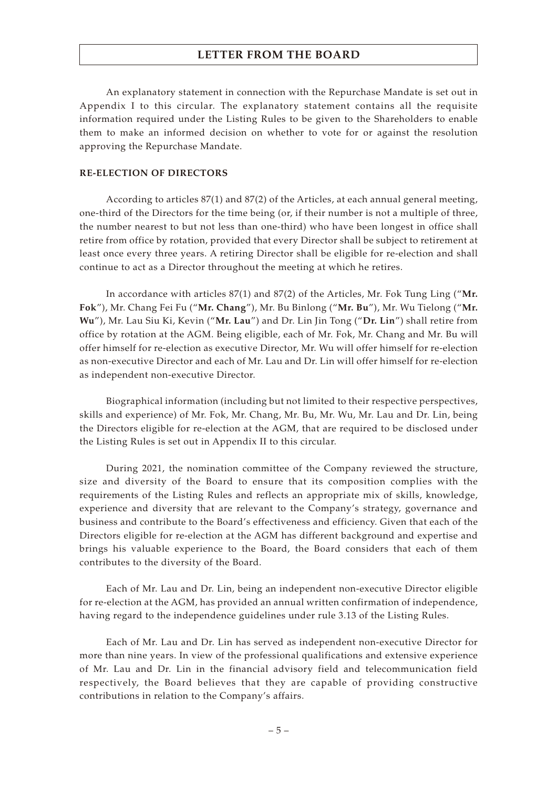An explanatory statement in connection with the Repurchase Mandate is set out in Appendix I to this circular. The explanatory statement contains all the requisite information required under the Listing Rules to be given to the Shareholders to enable them to make an informed decision on whether to vote for or against the resolution approving the Repurchase Mandate.

#### **RE-ELECTION OF DIRECTORS**

According to articles 87(1) and 87(2) of the Articles, at each annual general meeting, one-third of the Directors for the time being (or, if their number is not a multiple of three, the number nearest to but not less than one-third) who have been longest in office shall retire from office by rotation, provided that every Director shall be subject to retirement at least once every three years. A retiring Director shall be eligible for re-election and shall continue to act as a Director throughout the meeting at which he retires.

In accordance with articles 87(1) and 87(2) of the Articles, Mr. Fok Tung Ling ("**Mr. Fok**"), Mr. Chang Fei Fu ("**Mr. Chang**"), Mr. Bu Binlong ("**Mr. Bu**"), Mr. Wu Tielong ("**Mr. Wu**"), Mr. Lau Siu Ki, Kevin ("**Mr. Lau**") and Dr. Lin Jin Tong ("**Dr. Lin**") shall retire from office by rotation at the AGM. Being eligible, each of Mr. Fok, Mr. Chang and Mr. Bu will offer himself for re-election as executive Director, Mr. Wu will offer himself for re-election as non-executive Director and each of Mr. Lau and Dr. Lin will offer himself for re-election as independent non-executive Director.

Biographical information (including but not limited to their respective perspectives, skills and experience) of Mr. Fok, Mr. Chang, Mr. Bu, Mr. Wu, Mr. Lau and Dr. Lin, being the Directors eligible for re-election at the AGM, that are required to be disclosed under the Listing Rules is set out in Appendix II to this circular.

During 2021, the nomination committee of the Company reviewed the structure, size and diversity of the Board to ensure that its composition complies with the requirements of the Listing Rules and reflects an appropriate mix of skills, knowledge, experience and diversity that are relevant to the Company's strategy, governance and business and contribute to the Board's effectiveness and efficiency. Given that each of the Directors eligible for re-election at the AGM has different background and expertise and brings his valuable experience to the Board, the Board considers that each of them contributes to the diversity of the Board.

Each of Mr. Lau and Dr. Lin, being an independent non-executive Director eligible for re-election at the AGM, has provided an annual written confirmation of independence, having regard to the independence guidelines under rule 3.13 of the Listing Rules.

Each of Mr. Lau and Dr. Lin has served as independent non-executive Director for more than nine years. In view of the professional qualifications and extensive experience of Mr. Lau and Dr. Lin in the financial advisory field and telecommunication field respectively, the Board believes that they are capable of providing constructive contributions in relation to the Company's affairs.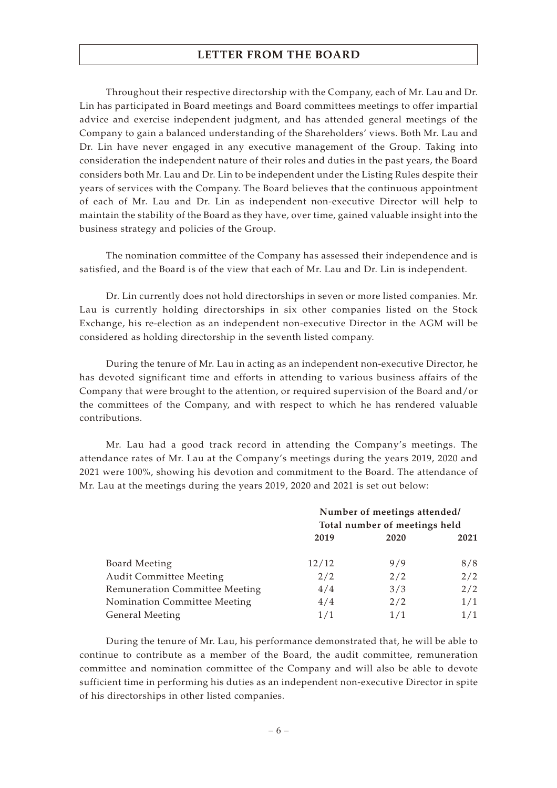Throughout their respective directorship with the Company, each of Mr. Lau and Dr. Lin has participated in Board meetings and Board committees meetings to offer impartial advice and exercise independent judgment, and has attended general meetings of the Company to gain a balanced understanding of the Shareholders' views. Both Mr. Lau and Dr. Lin have never engaged in any executive management of the Group. Taking into consideration the independent nature of their roles and duties in the past years, the Board considers both Mr. Lau and Dr. Lin to be independent under the Listing Rules despite their years of services with the Company. The Board believes that the continuous appointment of each of Mr. Lau and Dr. Lin as independent non-executive Director will help to maintain the stability of the Board as they have, over time, gained valuable insight into the business strategy and policies of the Group.

The nomination committee of the Company has assessed their independence and is satisfied, and the Board is of the view that each of Mr. Lau and Dr. Lin is independent.

Dr. Lin currently does not hold directorships in seven or more listed companies. Mr. Lau is currently holding directorships in six other companies listed on the Stock Exchange, his re-election as an independent non-executive Director in the AGM will be considered as holding directorship in the seventh listed company.

During the tenure of Mr. Lau in acting as an independent non-executive Director, he has devoted significant time and efforts in attending to various business affairs of the Company that were brought to the attention, or required supervision of the Board and/or the committees of the Company, and with respect to which he has rendered valuable contributions.

Mr. Lau had a good track record in attending the Company's meetings. The attendance rates of Mr. Lau at the Company's meetings during the years 2019, 2020 and 2021 were 100%, showing his devotion and commitment to the Board. The attendance of Mr. Lau at the meetings during the years 2019, 2020 and 2021 is set out below:

|                                | Number of meetings attended/  |      |      |
|--------------------------------|-------------------------------|------|------|
|                                | Total number of meetings held |      |      |
|                                | 2019                          | 2020 | 2021 |
| <b>Board Meeting</b>           | 12/12                         | 9/9  | 8/8  |
| <b>Audit Committee Meeting</b> | 2/2                           | 2/2  | 2/2  |
| Remuneration Committee Meeting | 4/4                           | 3/3  | 2/2  |
| Nomination Committee Meeting   | 4/4                           | 2/2  | 1/1  |
| <b>General Meeting</b>         | 1/1                           | 1/1  | 1/1  |

During the tenure of Mr. Lau, his performance demonstrated that, he will be able to continue to contribute as a member of the Board, the audit committee, remuneration committee and nomination committee of the Company and will also be able to devote sufficient time in performing his duties as an independent non-executive Director in spite of his directorships in other listed companies.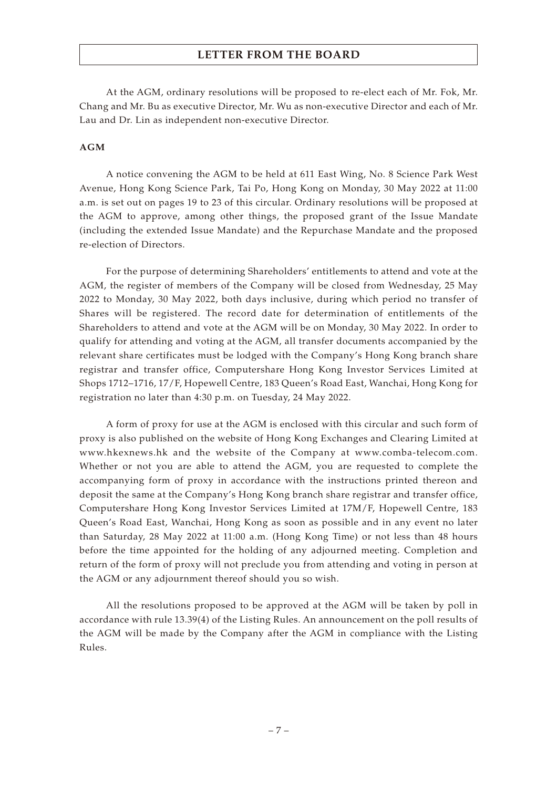At the AGM, ordinary resolutions will be proposed to re-elect each of Mr. Fok, Mr. Chang and Mr. Bu as executive Director, Mr. Wu as non-executive Director and each of Mr. Lau and Dr. Lin as independent non-executive Director.

#### **AGM**

A notice convening the AGM to be held at 611 East Wing, No. 8 Science Park West Avenue, Hong Kong Science Park, Tai Po, Hong Kong on Monday, 30 May 2022 at 11:00 a.m. is set out on pages 19 to 23 of this circular. Ordinary resolutions will be proposed at the AGM to approve, among other things, the proposed grant of the Issue Mandate (including the extended Issue Mandate) and the Repurchase Mandate and the proposed re-election of Directors.

For the purpose of determining Shareholders' entitlements to attend and vote at the AGM, the register of members of the Company will be closed from Wednesday, 25 May 2022 to Monday, 30 May 2022, both days inclusive, during which period no transfer of Shares will be registered. The record date for determination of entitlements of the Shareholders to attend and vote at the AGM will be on Monday, 30 May 2022. In order to qualify for attending and voting at the AGM, all transfer documents accompanied by the relevant share certificates must be lodged with the Company's Hong Kong branch share registrar and transfer office, Computershare Hong Kong Investor Services Limited at Shops 1712–1716, 17/F, Hopewell Centre, 183 Queen's Road East, Wanchai, Hong Kong for registration no later than 4:30 p.m. on Tuesday, 24 May 2022.

A form of proxy for use at the AGM is enclosed with this circular and such form of proxy is also published on the website of Hong Kong Exchanges and Clearing Limited at www.hkexnews.hk and the website of the Company at www.comba-telecom.com. Whether or not you are able to attend the AGM, you are requested to complete the accompanying form of proxy in accordance with the instructions printed thereon and deposit the same at the Company's Hong Kong branch share registrar and transfer office, Computershare Hong Kong Investor Services Limited at 17M/F, Hopewell Centre, 183 Queen's Road East, Wanchai, Hong Kong as soon as possible and in any event no later than Saturday, 28 May 2022 at 11:00 a.m. (Hong Kong Time) or not less than 48 hours before the time appointed for the holding of any adjourned meeting. Completion and return of the form of proxy will not preclude you from attending and voting in person at the AGM or any adjournment thereof should you so wish.

All the resolutions proposed to be approved at the AGM will be taken by poll in accordance with rule 13.39(4) of the Listing Rules. An announcement on the poll results of the AGM will be made by the Company after the AGM in compliance with the Listing Rules.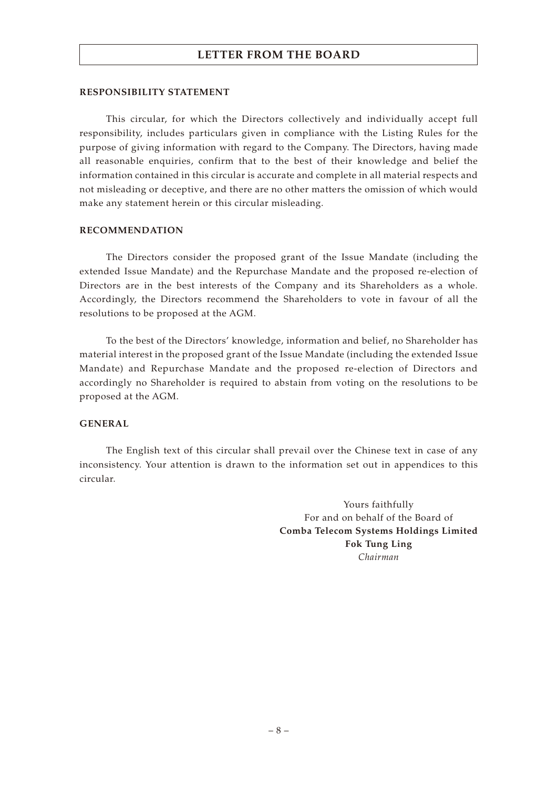#### **RESPONSIBILITY STATEMENT**

This circular, for which the Directors collectively and individually accept full responsibility, includes particulars given in compliance with the Listing Rules for the purpose of giving information with regard to the Company. The Directors, having made all reasonable enquiries, confirm that to the best of their knowledge and belief the information contained in this circular is accurate and complete in all material respects and not misleading or deceptive, and there are no other matters the omission of which would make any statement herein or this circular misleading.

#### **RECOMMENDATION**

The Directors consider the proposed grant of the Issue Mandate (including the extended Issue Mandate) and the Repurchase Mandate and the proposed re-election of Directors are in the best interests of the Company and its Shareholders as a whole. Accordingly, the Directors recommend the Shareholders to vote in favour of all the resolutions to be proposed at the AGM.

To the best of the Directors' knowledge, information and belief, no Shareholder has material interest in the proposed grant of the Issue Mandate (including the extended Issue Mandate) and Repurchase Mandate and the proposed re-election of Directors and accordingly no Shareholder is required to abstain from voting on the resolutions to be proposed at the AGM.

#### **GENERAL**

The English text of this circular shall prevail over the Chinese text in case of any inconsistency. Your attention is drawn to the information set out in appendices to this circular.

> Yours faithfully For and on behalf of the Board of **Comba Telecom Systems Holdings Limited Fok Tung Ling** *Chairman*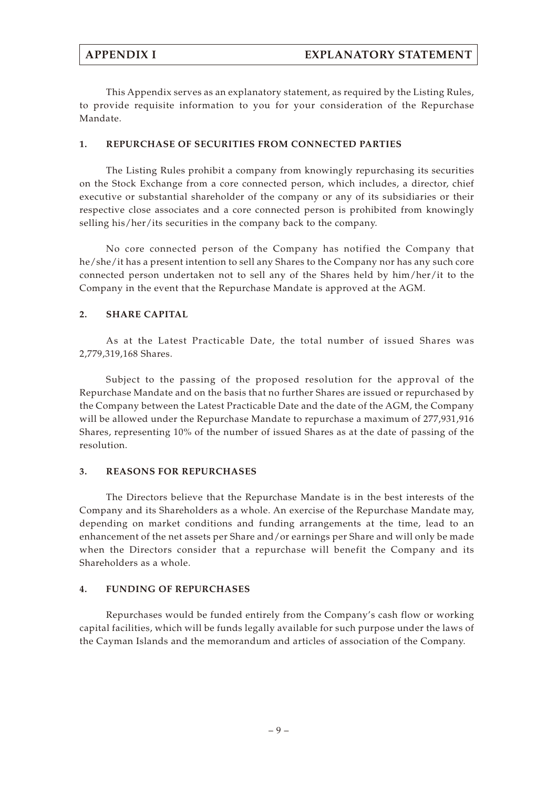This Appendix serves as an explanatory statement, as required by the Listing Rules, to provide requisite information to you for your consideration of the Repurchase Mandate.

#### **1. REPURCHASE OF SECURITIES FROM CONNECTED PARTIES**

The Listing Rules prohibit a company from knowingly repurchasing its securities on the Stock Exchange from a core connected person, which includes, a director, chief executive or substantial shareholder of the company or any of its subsidiaries or their respective close associates and a core connected person is prohibited from knowingly selling his/her/its securities in the company back to the company.

No core connected person of the Company has notified the Company that he/she/it has a present intention to sell any Shares to the Company nor has any such core connected person undertaken not to sell any of the Shares held by him/her/it to the Company in the event that the Repurchase Mandate is approved at the AGM.

#### **2. SHARE CAPITAL**

As at the Latest Practicable Date, the total number of issued Shares was 2,779,319,168 Shares.

Subject to the passing of the proposed resolution for the approval of the Repurchase Mandate and on the basis that no further Shares are issued or repurchased by the Company between the Latest Practicable Date and the date of the AGM, the Company will be allowed under the Repurchase Mandate to repurchase a maximum of 277,931,916 Shares, representing 10% of the number of issued Shares as at the date of passing of the resolution.

#### **3. REASONS FOR REPURCHASES**

The Directors believe that the Repurchase Mandate is in the best interests of the Company and its Shareholders as a whole. An exercise of the Repurchase Mandate may, depending on market conditions and funding arrangements at the time, lead to an enhancement of the net assets per Share and/or earnings per Share and will only be made when the Directors consider that a repurchase will benefit the Company and its Shareholders as a whole.

#### **4. FUNDING OF REPURCHASES**

Repurchases would be funded entirely from the Company's cash flow or working capital facilities, which will be funds legally available for such purpose under the laws of the Cayman Islands and the memorandum and articles of association of the Company.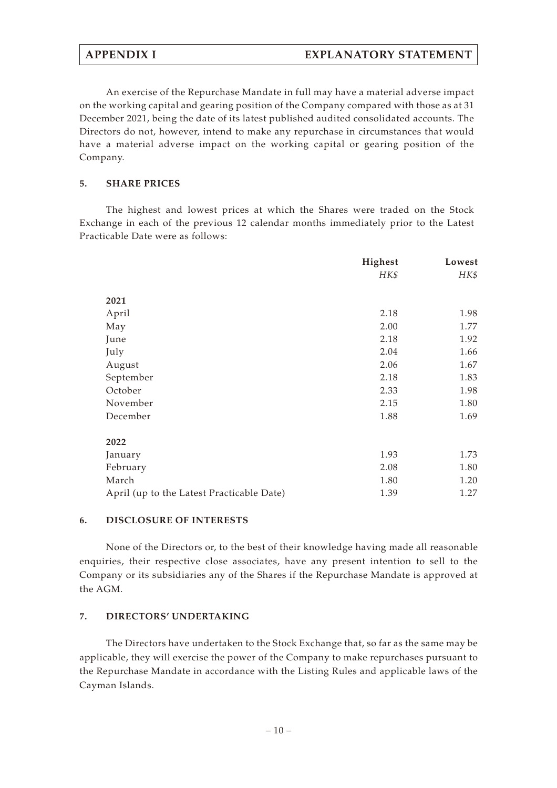An exercise of the Repurchase Mandate in full may have a material adverse impact on the working capital and gearing position of the Company compared with those as at 31 December 2021, being the date of its latest published audited consolidated accounts. The Directors do not, however, intend to make any repurchase in circumstances that would have a material adverse impact on the working capital or gearing position of the Company.

#### **5. SHARE PRICES**

The highest and lowest prices at which the Shares were traded on the Stock Exchange in each of the previous 12 calendar months immediately prior to the Latest Practicable Date were as follows:

|                                           | Highest | Lowest |
|-------------------------------------------|---------|--------|
|                                           | HK\$    | HK\$   |
| 2021                                      |         |        |
| April                                     | 2.18    | 1.98   |
| May                                       | 2.00    | 1.77   |
| June                                      | 2.18    | 1.92   |
| July                                      | 2.04    | 1.66   |
| August                                    | 2.06    | 1.67   |
| September                                 | 2.18    | 1.83   |
| October                                   | 2.33    | 1.98   |
| November                                  | 2.15    | 1.80   |
| December                                  | 1.88    | 1.69   |
| 2022                                      |         |        |
| January                                   | 1.93    | 1.73   |
| February                                  | 2.08    | 1.80   |
| March                                     | 1.80    | 1.20   |
| April (up to the Latest Practicable Date) | 1.39    | 1.27   |

#### **6. DISCLOSURE OF INTERESTS**

None of the Directors or, to the best of their knowledge having made all reasonable enquiries, their respective close associates, have any present intention to sell to the Company or its subsidiaries any of the Shares if the Repurchase Mandate is approved at the AGM.

#### **7. DIRECTORS' UNDERTAKING**

The Directors have undertaken to the Stock Exchange that, so far as the same may be applicable, they will exercise the power of the Company to make repurchases pursuant to the Repurchase Mandate in accordance with the Listing Rules and applicable laws of the Cayman Islands.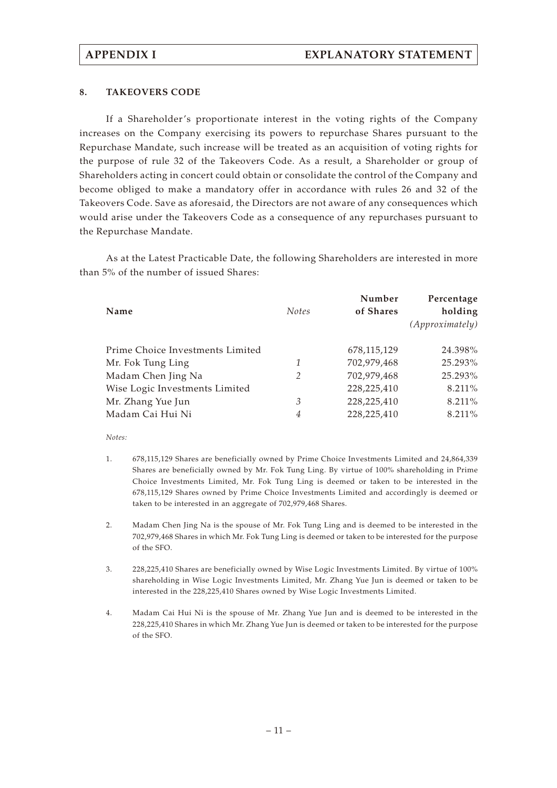#### **8. TAKEOVERS CODE**

If a Shareholder's proportionate interest in the voting rights of the Company increases on the Company exercising its powers to repurchase Shares pursuant to the Repurchase Mandate, such increase will be treated as an acquisition of voting rights for the purpose of rule 32 of the Takeovers Code. As a result, a Shareholder or group of Shareholders acting in concert could obtain or consolidate the control of the Company and become obliged to make a mandatory offer in accordance with rules 26 and 32 of the Takeovers Code. Save as aforesaid, the Directors are not aware of any consequences which would arise under the Takeovers Code as a consequence of any repurchases pursuant to the Repurchase Mandate.

As at the Latest Practicable Date, the following Shareholders are interested in more than 5% of the number of issued Shares:

| Name                             | <b>Notes</b> | Number<br>of Shares | Percentage<br>holding<br>(Approximately) |
|----------------------------------|--------------|---------------------|------------------------------------------|
| Prime Choice Investments Limited |              | 678,115,129         | 24.398%                                  |
| Mr. Fok Tung Ling                | 1            | 702,979,468         | 25.293%                                  |
| Madam Chen Jing Na               | 2            | 702,979,468         | 25.293%                                  |
| Wise Logic Investments Limited   |              | 228,225,410         | 8.211%                                   |
| Mr. Zhang Yue Jun                | 3            | 228,225,410         | 8.211%                                   |
| Madam Cai Hui Ni                 | 4            | 228,225,410         | 8.211%                                   |

*Notes:*

- 1. 678,115,129 Shares are beneficially owned by Prime Choice Investments Limited and 24,864,339 Shares are beneficially owned by Mr. Fok Tung Ling. By virtue of 100% shareholding in Prime Choice Investments Limited, Mr. Fok Tung Ling is deemed or taken to be interested in the 678,115,129 Shares owned by Prime Choice Investments Limited and accordingly is deemed or taken to be interested in an aggregate of 702,979,468 Shares.
- 2. Madam Chen Jing Na is the spouse of Mr. Fok Tung Ling and is deemed to be interested in the 702,979,468 Shares in which Mr. Fok Tung Ling is deemed or taken to be interested for the purpose of the SFO.
- 3. 228,225,410 Shares are beneficially owned by Wise Logic Investments Limited. By virtue of 100% shareholding in Wise Logic Investments Limited, Mr. Zhang Yue Jun is deemed or taken to be interested in the 228,225,410 Shares owned by Wise Logic Investments Limited.
- 4. Madam Cai Hui Ni is the spouse of Mr. Zhang Yue Jun and is deemed to be interested in the 228,225,410 Shares in which Mr. Zhang Yue Jun is deemed or taken to be interested for the purpose of the SFO.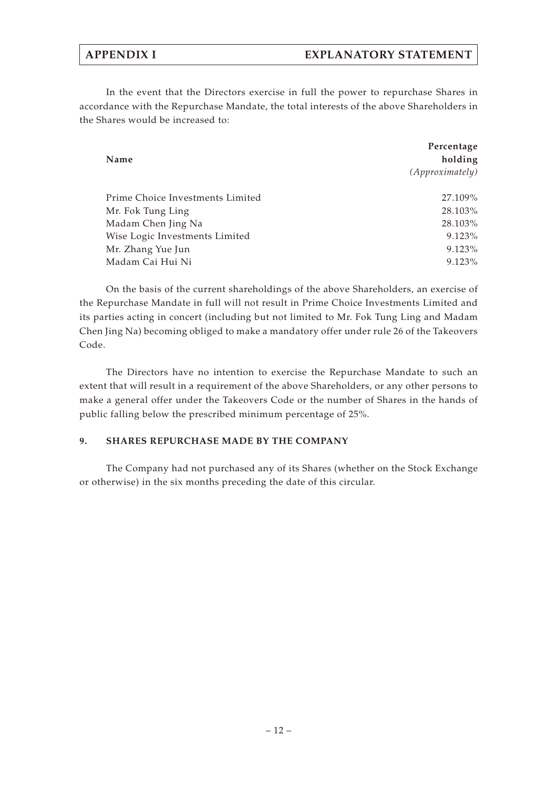#### **APPENDIX I EXPLANATORY STATEMENT**

In the event that the Directors exercise in full the power to repurchase Shares in accordance with the Repurchase Mandate, the total interests of the above Shareholders in the Shares would be increased to:

| Name                             | Percentage<br>holding<br>(Approximately) |
|----------------------------------|------------------------------------------|
| Prime Choice Investments Limited | 27.109%                                  |
| Mr. Fok Tung Ling                | 28.103%                                  |
| Madam Chen Jing Na               | 28.103%                                  |
| Wise Logic Investments Limited   | $9.123\%$                                |
| Mr. Zhang Yue Jun                | $9.123\%$                                |
| Madam Cai Hui Ni                 | $9.123\%$                                |

On the basis of the current shareholdings of the above Shareholders, an exercise of the Repurchase Mandate in full will not result in Prime Choice Investments Limited and its parties acting in concert (including but not limited to Mr. Fok Tung Ling and Madam Chen Jing Na) becoming obliged to make a mandatory offer under rule 26 of the Takeovers Code.

The Directors have no intention to exercise the Repurchase Mandate to such an extent that will result in a requirement of the above Shareholders, or any other persons to make a general offer under the Takeovers Code or the number of Shares in the hands of public falling below the prescribed minimum percentage of 25%.

#### **9. SHARES REPURCHASE MADE BY THE COMPANY**

The Company had not purchased any of its Shares (whether on the Stock Exchange or otherwise) in the six months preceding the date of this circular.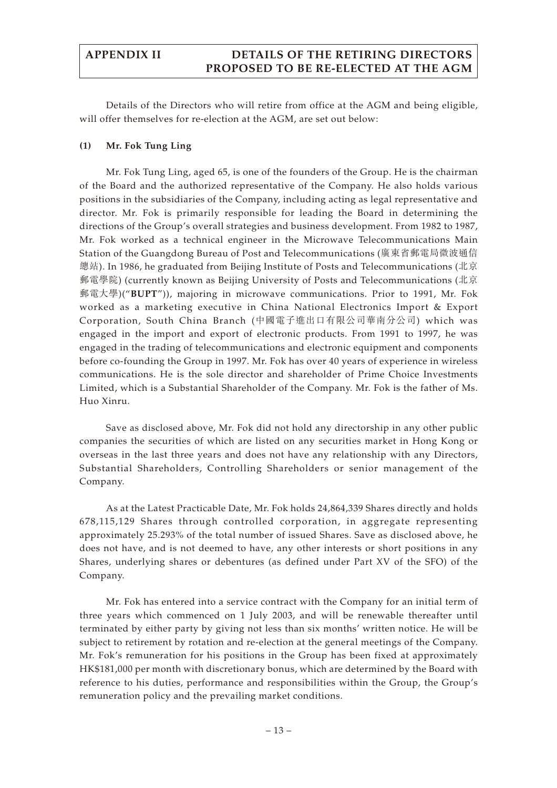Details of the Directors who will retire from office at the AGM and being eligible, will offer themselves for re-election at the AGM, are set out below:

#### **(1) Mr. Fok Tung Ling**

Mr. Fok Tung Ling, aged 65, is one of the founders of the Group. He is the chairman of the Board and the authorized representative of the Company. He also holds various positions in the subsidiaries of the Company, including acting as legal representative and director. Mr. Fok is primarily responsible for leading the Board in determining the directions of the Group's overall strategies and business development. From 1982 to 1987, Mr. Fok worked as a technical engineer in the Microwave Telecommunications Main Station of the Guangdong Bureau of Post and Telecommunications (廣東省郵電局微波通信 總站). In 1986, he graduated from Beijing Institute of Posts and Telecommunications (北京 郵電學院) (currently known as Beijing University of Posts and Telecommunications (北京 郵電大學)("**BUPT**")), majoring in microwave communications. Prior to 1991, Mr. Fok worked as a marketing executive in China National Electronics Import & Export Corporation, South China Branch (中國電子進出口有限公司華南分公司) which was engaged in the import and export of electronic products. From 1991 to 1997, he was engaged in the trading of telecommunications and electronic equipment and components before co-founding the Group in 1997. Mr. Fok has over 40 years of experience in wireless communications. He is the sole director and shareholder of Prime Choice Investments Limited, which is a Substantial Shareholder of the Company. Mr. Fok is the father of Ms. Huo Xinru.

Save as disclosed above, Mr. Fok did not hold any directorship in any other public companies the securities of which are listed on any securities market in Hong Kong or overseas in the last three years and does not have any relationship with any Directors, Substantial Shareholders, Controlling Shareholders or senior management of the Company.

As at the Latest Practicable Date, Mr. Fok holds 24,864,339 Shares directly and holds 678,115,129 Shares through controlled corporation, in aggregate representing approximately 25.293% of the total number of issued Shares. Save as disclosed above, he does not have, and is not deemed to have, any other interests or short positions in any Shares, underlying shares or debentures (as defined under Part XV of the SFO) of the Company.

Mr. Fok has entered into a service contract with the Company for an initial term of three years which commenced on 1 July 2003, and will be renewable thereafter until terminated by either party by giving not less than six months' written notice. He will be subject to retirement by rotation and re-election at the general meetings of the Company. Mr. Fok's remuneration for his positions in the Group has been fixed at approximately HK\$181,000 per month with discretionary bonus, which are determined by the Board with reference to his duties, performance and responsibilities within the Group, the Group's remuneration policy and the prevailing market conditions.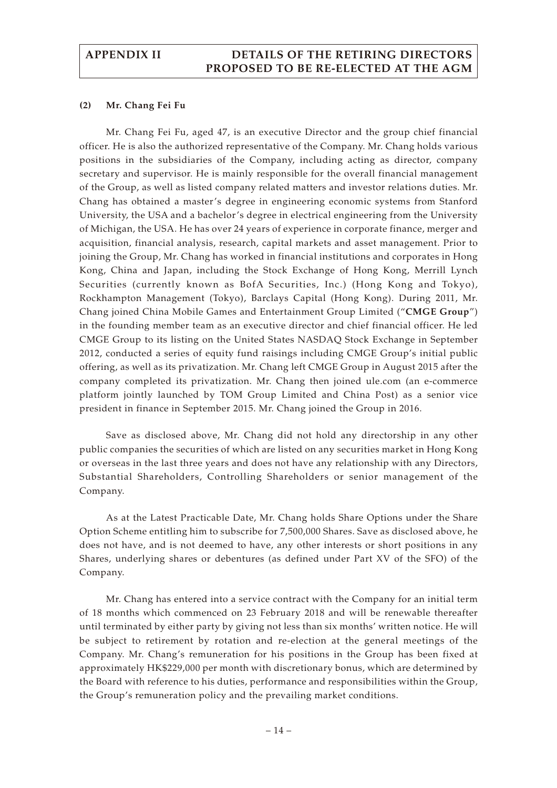#### **(2) Mr. Chang Fei Fu**

Mr. Chang Fei Fu, aged 47, is an executive Director and the group chief financial officer. He is also the authorized representative of the Company. Mr. Chang holds various positions in the subsidiaries of the Company, including acting as director, company secretary and supervisor. He is mainly responsible for the overall financial management of the Group, as well as listed company related matters and investor relations duties. Mr. Chang has obtained a master's degree in engineering economic systems from Stanford University, the USA and a bachelor's degree in electrical engineering from the University of Michigan, the USA. He has over 24 years of experience in corporate finance, merger and acquisition, financial analysis, research, capital markets and asset management. Prior to joining the Group, Mr. Chang has worked in financial institutions and corporates in Hong Kong, China and Japan, including the Stock Exchange of Hong Kong, Merrill Lynch Securities (currently known as BofA Securities, Inc.) (Hong Kong and Tokyo), Rockhampton Management (Tokyo), Barclays Capital (Hong Kong). During 2011, Mr. Chang joined China Mobile Games and Entertainment Group Limited ("**CMGE Group**") in the founding member team as an executive director and chief financial officer. He led CMGE Group to its listing on the United States NASDAQ Stock Exchange in September 2012, conducted a series of equity fund raisings including CMGE Group's initial public offering, as well as its privatization. Mr. Chang left CMGE Group in August 2015 after the company completed its privatization. Mr. Chang then joined ule.com (an e-commerce platform jointly launched by TOM Group Limited and China Post) as a senior vice president in finance in September 2015. Mr. Chang joined the Group in 2016.

Save as disclosed above, Mr. Chang did not hold any directorship in any other public companies the securities of which are listed on any securities market in Hong Kong or overseas in the last three years and does not have any relationship with any Directors, Substantial Shareholders, Controlling Shareholders or senior management of the Company.

As at the Latest Practicable Date, Mr. Chang holds Share Options under the Share Option Scheme entitling him to subscribe for 7,500,000 Shares. Save as disclosed above, he does not have, and is not deemed to have, any other interests or short positions in any Shares, underlying shares or debentures (as defined under Part XV of the SFO) of the Company.

Mr. Chang has entered into a service contract with the Company for an initial term of 18 months which commenced on 23 February 2018 and will be renewable thereafter until terminated by either party by giving not less than six months' written notice. He will be subject to retirement by rotation and re-election at the general meetings of the Company. Mr. Chang's remuneration for his positions in the Group has been fixed at approximately HK\$229,000 per month with discretionary bonus, which are determined by the Board with reference to his duties, performance and responsibilities within the Group, the Group's remuneration policy and the prevailing market conditions.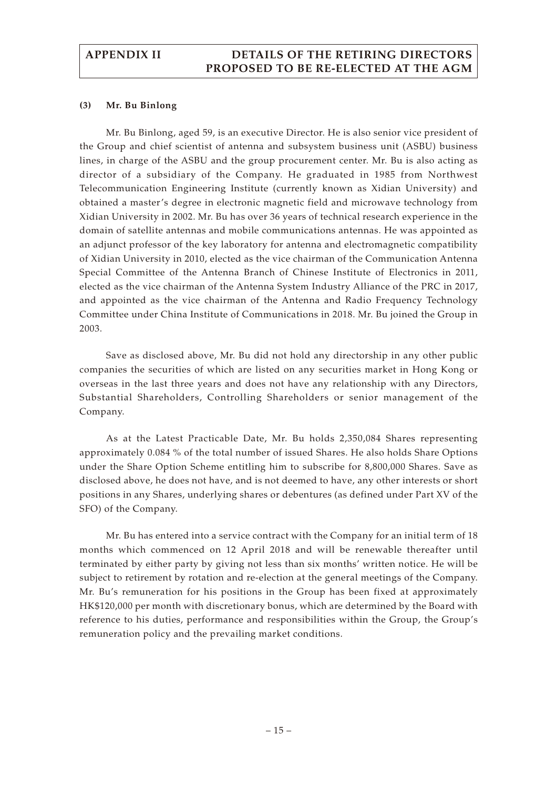#### **(3) Mr. Bu Binlong**

Mr. Bu Binlong, aged 59, is an executive Director. He is also senior vice president of the Group and chief scientist of antenna and subsystem business unit (ASBU) business lines, in charge of the ASBU and the group procurement center. Mr. Bu is also acting as director of a subsidiary of the Company. He graduated in 1985 from Northwest Telecommunication Engineering Institute (currently known as Xidian University) and obtained a master's degree in electronic magnetic field and microwave technology from Xidian University in 2002. Mr. Bu has over 36 years of technical research experience in the domain of satellite antennas and mobile communications antennas. He was appointed as an adjunct professor of the key laboratory for antenna and electromagnetic compatibility of Xidian University in 2010, elected as the vice chairman of the Communication Antenna Special Committee of the Antenna Branch of Chinese Institute of Electronics in 2011, elected as the vice chairman of the Antenna System Industry Alliance of the PRC in 2017, and appointed as the vice chairman of the Antenna and Radio Frequency Technology Committee under China Institute of Communications in 2018. Mr. Bu joined the Group in 2003.

Save as disclosed above, Mr. Bu did not hold any directorship in any other public companies the securities of which are listed on any securities market in Hong Kong or overseas in the last three years and does not have any relationship with any Directors, Substantial Shareholders, Controlling Shareholders or senior management of the Company.

As at the Latest Practicable Date, Mr. Bu holds 2,350,084 Shares representing approximately 0.084 % of the total number of issued Shares. He also holds Share Options under the Share Option Scheme entitling him to subscribe for 8,800,000 Shares. Save as disclosed above, he does not have, and is not deemed to have, any other interests or short positions in any Shares, underlying shares or debentures (as defined under Part XV of the SFO) of the Company.

Mr. Bu has entered into a service contract with the Company for an initial term of 18 months which commenced on 12 April 2018 and will be renewable thereafter until terminated by either party by giving not less than six months' written notice. He will be subject to retirement by rotation and re-election at the general meetings of the Company. Mr. Bu's remuneration for his positions in the Group has been fixed at approximately HK\$120,000 per month with discretionary bonus, which are determined by the Board with reference to his duties, performance and responsibilities within the Group, the Group's remuneration policy and the prevailing market conditions.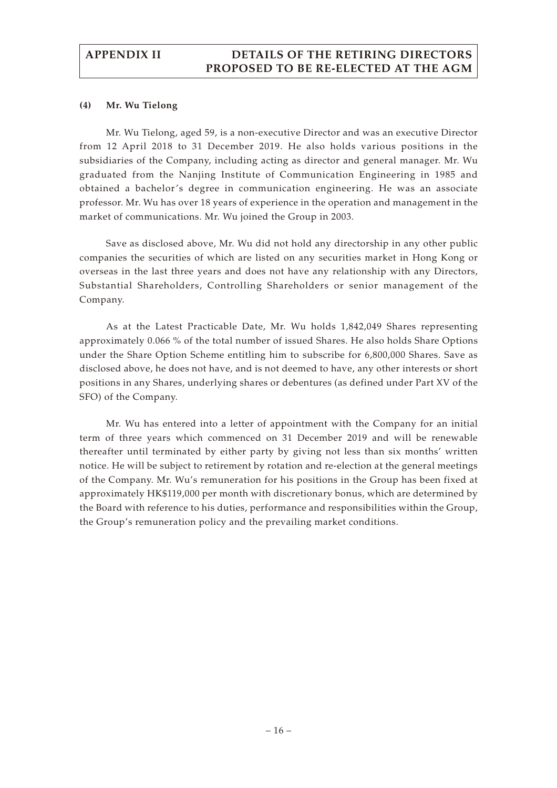#### **(4) Mr. Wu Tielong**

Mr. Wu Tielong, aged 59, is a non-executive Director and was an executive Director from 12 April 2018 to 31 December 2019. He also holds various positions in the subsidiaries of the Company, including acting as director and general manager. Mr. Wu graduated from the Nanjing Institute of Communication Engineering in 1985 and obtained a bachelor's degree in communication engineering. He was an associate professor. Mr. Wu has over 18 years of experience in the operation and management in the market of communications. Mr. Wu joined the Group in 2003.

Save as disclosed above, Mr. Wu did not hold any directorship in any other public companies the securities of which are listed on any securities market in Hong Kong or overseas in the last three years and does not have any relationship with any Directors, Substantial Shareholders, Controlling Shareholders or senior management of the Company.

As at the Latest Practicable Date, Mr. Wu holds 1,842,049 Shares representing approximately 0.066 % of the total number of issued Shares. He also holds Share Options under the Share Option Scheme entitling him to subscribe for 6,800,000 Shares. Save as disclosed above, he does not have, and is not deemed to have, any other interests or short positions in any Shares, underlying shares or debentures (as defined under Part XV of the SFO) of the Company.

Mr. Wu has entered into a letter of appointment with the Company for an initial term of three years which commenced on 31 December 2019 and will be renewable thereafter until terminated by either party by giving not less than six months' written notice. He will be subject to retirement by rotation and re-election at the general meetings of the Company. Mr. Wu's remuneration for his positions in the Group has been fixed at approximately HK\$119,000 per month with discretionary bonus, which are determined by the Board with reference to his duties, performance and responsibilities within the Group, the Group's remuneration policy and the prevailing market conditions.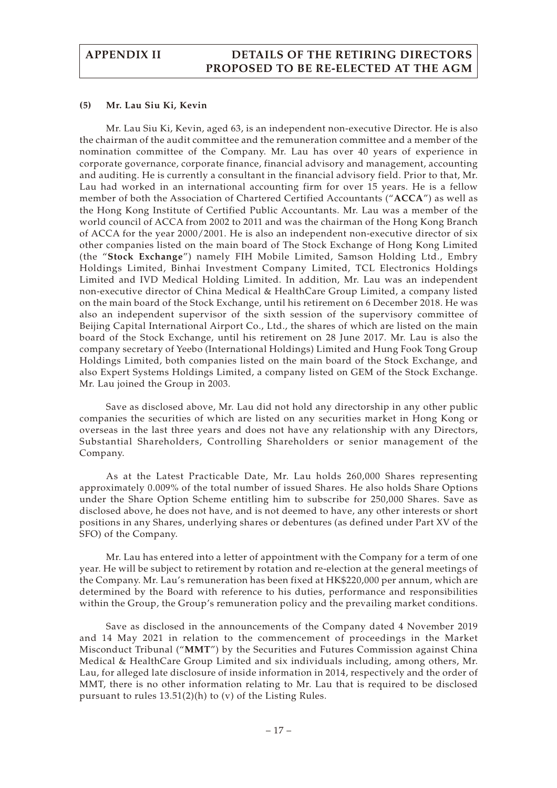#### **(5) Mr. Lau Siu Ki, Kevin**

Mr. Lau Siu Ki, Kevin, aged 63, is an independent non-executive Director. He is also the chairman of the audit committee and the remuneration committee and a member of the nomination committee of the Company. Mr. Lau has over 40 years of experience in corporate governance, corporate finance, financial advisory and management, accounting and auditing. He is currently a consultant in the financial advisory field. Prior to that, Mr. Lau had worked in an international accounting firm for over 15 years. He is a fellow member of both the Association of Chartered Certified Accountants ("**ACCA**") as well as the Hong Kong Institute of Certified Public Accountants. Mr. Lau was a member of the world council of ACCA from 2002 to 2011 and was the chairman of the Hong Kong Branch of ACCA for the year 2000/2001. He is also an independent non-executive director of six other companies listed on the main board of The Stock Exchange of Hong Kong Limited (the "**Stock Exchange**") namely FIH Mobile Limited, Samson Holding Ltd., Embry Holdings Limited, Binhai Investment Company Limited, TCL Electronics Holdings Limited and IVD Medical Holding Limited. In addition, Mr. Lau was an independent non-executive director of China Medical & HealthCare Group Limited, a company listed on the main board of the Stock Exchange, until his retirement on 6 December 2018. He was also an independent supervisor of the sixth session of the supervisory committee of Beijing Capital International Airport Co., Ltd., the shares of which are listed on the main board of the Stock Exchange, until his retirement on 28 June 2017. Mr. Lau is also the company secretary of Yeebo (International Holdings) Limited and Hung Fook Tong Group Holdings Limited, both companies listed on the main board of the Stock Exchange, and also Expert Systems Holdings Limited, a company listed on GEM of the Stock Exchange. Mr. Lau joined the Group in 2003.

Save as disclosed above, Mr. Lau did not hold any directorship in any other public companies the securities of which are listed on any securities market in Hong Kong or overseas in the last three years and does not have any relationship with any Directors, Substantial Shareholders, Controlling Shareholders or senior management of the Company.

As at the Latest Practicable Date, Mr. Lau holds 260,000 Shares representing approximately 0.009% of the total number of issued Shares. He also holds Share Options under the Share Option Scheme entitling him to subscribe for 250,000 Shares. Save as disclosed above, he does not have, and is not deemed to have, any other interests or short positions in any Shares, underlying shares or debentures (as defined under Part XV of the SFO) of the Company.

Mr. Lau has entered into a letter of appointment with the Company for a term of one year. He will be subject to retirement by rotation and re-election at the general meetings of the Company. Mr. Lau's remuneration has been fixed at HK\$220,000 per annum, which are determined by the Board with reference to his duties, performance and responsibilities within the Group, the Group's remuneration policy and the prevailing market conditions.

Save as disclosed in the announcements of the Company dated 4 November 2019 and 14 May 2021 in relation to the commencement of proceedings in the Market Misconduct Tribunal ("**MMT**") by the Securities and Futures Commission against China Medical & HealthCare Group Limited and six individuals including, among others, Mr. Lau, for alleged late disclosure of inside information in 2014, respectively and the order of MMT, there is no other information relating to Mr. Lau that is required to be disclosed pursuant to rules 13.51(2)(h) to (v) of the Listing Rules.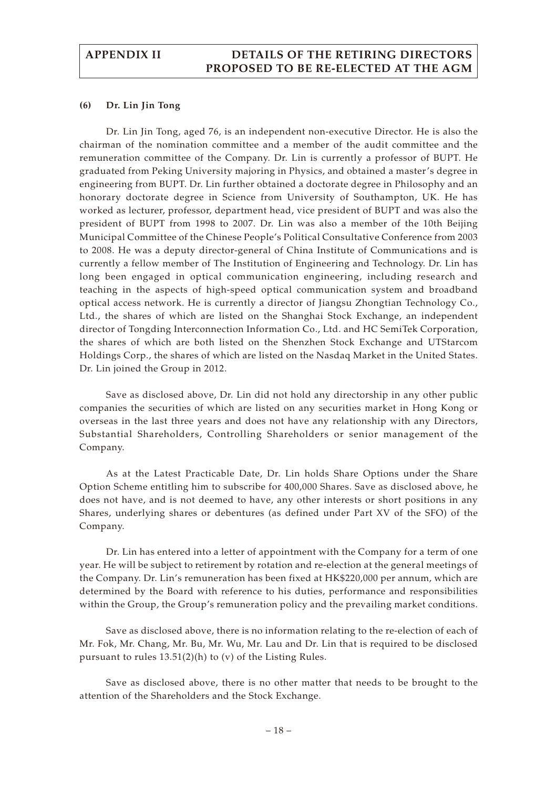#### **(6) Dr. Lin Jin Tong**

Dr. Lin Jin Tong, aged 76, is an independent non-executive Director. He is also the chairman of the nomination committee and a member of the audit committee and the remuneration committee of the Company. Dr. Lin is currently a professor of BUPT. He graduated from Peking University majoring in Physics, and obtained a master's degree in engineering from BUPT. Dr. Lin further obtained a doctorate degree in Philosophy and an honorary doctorate degree in Science from University of Southampton, UK. He has worked as lecturer, professor, department head, vice president of BUPT and was also the president of BUPT from 1998 to 2007. Dr. Lin was also a member of the 10th Beijing Municipal Committee of the Chinese People's Political Consultative Conference from 2003 to 2008. He was a deputy director-general of China Institute of Communications and is currently a fellow member of The Institution of Engineering and Technology. Dr. Lin has long been engaged in optical communication engineering, including research and teaching in the aspects of high-speed optical communication system and broadband optical access network. He is currently a director of Jiangsu Zhongtian Technology Co., Ltd., the shares of which are listed on the Shanghai Stock Exchange, an independent director of Tongding Interconnection Information Co., Ltd. and HC SemiTek Corporation, the shares of which are both listed on the Shenzhen Stock Exchange and UTStarcom Holdings Corp., the shares of which are listed on the Nasdaq Market in the United States. Dr. Lin joined the Group in 2012.

Save as disclosed above, Dr. Lin did not hold any directorship in any other public companies the securities of which are listed on any securities market in Hong Kong or overseas in the last three years and does not have any relationship with any Directors, Substantial Shareholders, Controlling Shareholders or senior management of the Company.

As at the Latest Practicable Date, Dr. Lin holds Share Options under the Share Option Scheme entitling him to subscribe for 400,000 Shares. Save as disclosed above, he does not have, and is not deemed to have, any other interests or short positions in any Shares, underlying shares or debentures (as defined under Part XV of the SFO) of the Company.

Dr. Lin has entered into a letter of appointment with the Company for a term of one year. He will be subject to retirement by rotation and re-election at the general meetings of the Company. Dr. Lin's remuneration has been fixed at HK\$220,000 per annum, which are determined by the Board with reference to his duties, performance and responsibilities within the Group, the Group's remuneration policy and the prevailing market conditions.

Save as disclosed above, there is no information relating to the re-election of each of Mr. Fok, Mr. Chang, Mr. Bu, Mr. Wu, Mr. Lau and Dr. Lin that is required to be disclosed pursuant to rules 13.51(2)(h) to (v) of the Listing Rules.

Save as disclosed above, there is no other matter that needs to be brought to the attention of the Shareholders and the Stock Exchange.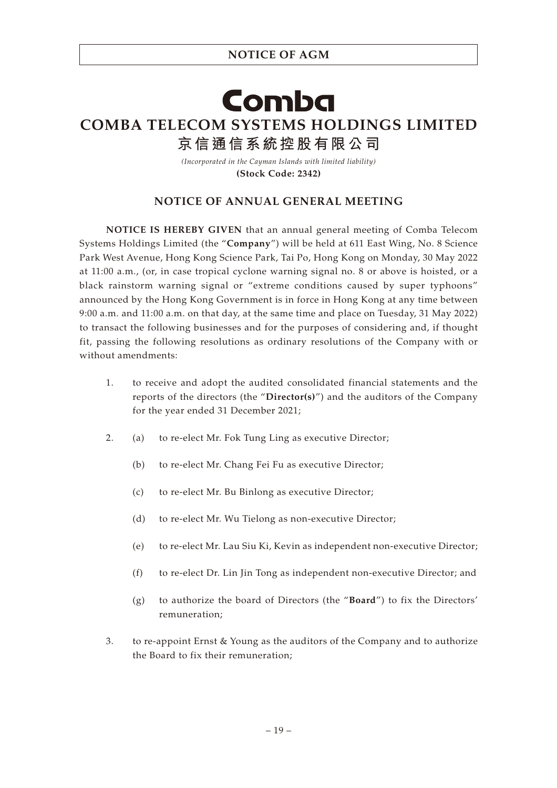#### **NOTICE OF AGM**

## Comba **COMBA TELECOM SYSTEMS HOLDINGS LIMITED 京信通信系統控股有限公司**

*(Incorporated in the Cayman Islands with limited liability)* **(Stock Code: 2342)**

#### **NOTICE OF ANNUAL GENERAL MEETING**

**NOTICE IS HEREBY GIVEN** that an annual general meeting of Comba Telecom Systems Holdings Limited (the "**Company**") will be held at 611 East Wing, No. 8 Science Park West Avenue, Hong Kong Science Park, Tai Po, Hong Kong on Monday, 30 May 2022 at 11:00 a.m., (or, in case tropical cyclone warning signal no. 8 or above is hoisted, or a black rainstorm warning signal or "extreme conditions caused by super typhoons" announced by the Hong Kong Government is in force in Hong Kong at any time between 9:00 a.m. and 11:00 a.m. on that day, at the same time and place on Tuesday, 31 May 2022) to transact the following businesses and for the purposes of considering and, if thought fit, passing the following resolutions as ordinary resolutions of the Company with or without amendments:

- 1. to receive and adopt the audited consolidated financial statements and the reports of the directors (the "**Director(s)**") and the auditors of the Company for the year ended 31 December 2021;
- 2. (a) to re-elect Mr. Fok Tung Ling as executive Director;
	- (b) to re-elect Mr. Chang Fei Fu as executive Director;
	- (c) to re-elect Mr. Bu Binlong as executive Director;
	- (d) to re-elect Mr. Wu Tielong as non-executive Director;
	- (e) to re-elect Mr. Lau Siu Ki, Kevin as independent non-executive Director;
	- (f) to re-elect Dr. Lin Jin Tong as independent non-executive Director; and
	- (g) to authorize the board of Directors (the "**Board**") to fix the Directors' remuneration;
- 3. to re-appoint Ernst & Young as the auditors of the Company and to authorize the Board to fix their remuneration;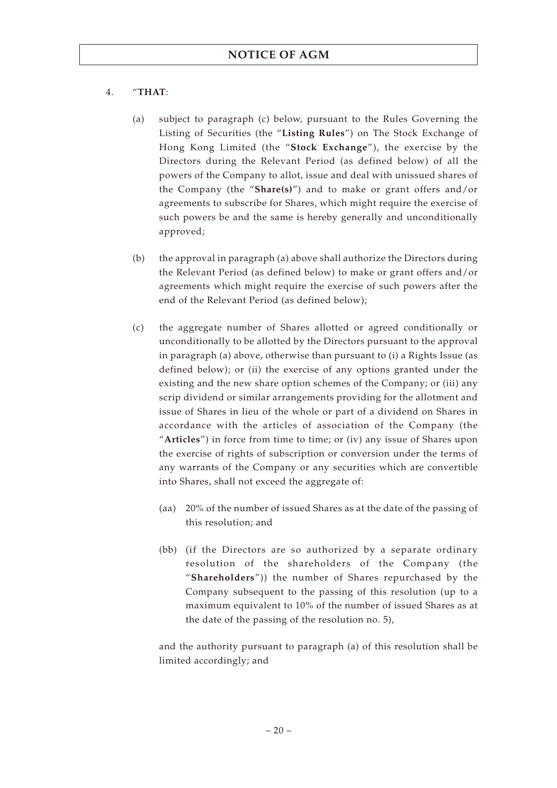#### 4. "**THAT**:

- (a) subject to paragraph (c) below, pursuant to the Rules Governing the Listing of Securities (the "**Listing Rules**") on The Stock Exchange of Hong Kong Limited (the "**Stock Exchange**"), the exercise by the Directors during the Relevant Period (as defined below) of all the powers of the Company to allot, issue and deal with unissued shares of the Company (the "**Share(s)**") and to make or grant offers and/or agreements to subscribe for Shares, which might require the exercise of such powers be and the same is hereby generally and unconditionally approved;
- (b) the approval in paragraph (a) above shall authorize the Directors during the Relevant Period (as defined below) to make or grant offers and/or agreements which might require the exercise of such powers after the end of the Relevant Period (as defined below);
- (c) the aggregate number of Shares allotted or agreed conditionally or unconditionally to be allotted by the Directors pursuant to the approval in paragraph (a) above, otherwise than pursuant to (i) a Rights Issue (as defined below); or (ii) the exercise of any options granted under the existing and the new share option schemes of the Company; or (iii) any scrip dividend or similar arrangements providing for the allotment and issue of Shares in lieu of the whole or part of a dividend on Shares in accordance with the articles of association of the Company (the "**Articles**") in force from time to time; or (iv) any issue of Shares upon the exercise of rights of subscription or conversion under the terms of any warrants of the Company or any securities which are convertible into Shares, shall not exceed the aggregate of:
	- (aa) 20% of the number of issued Shares as at the date of the passing of this resolution; and
	- (bb) (if the Directors are so authorized by a separate ordinary resolution of the shareholders of the Company (the "**Shareholders**")) the number of Shares repurchased by the Company subsequent to the passing of this resolution (up to a maximum equivalent to 10% of the number of issued Shares as at the date of the passing of the resolution no. 5),

and the authority pursuant to paragraph (a) of this resolution shall be limited accordingly; and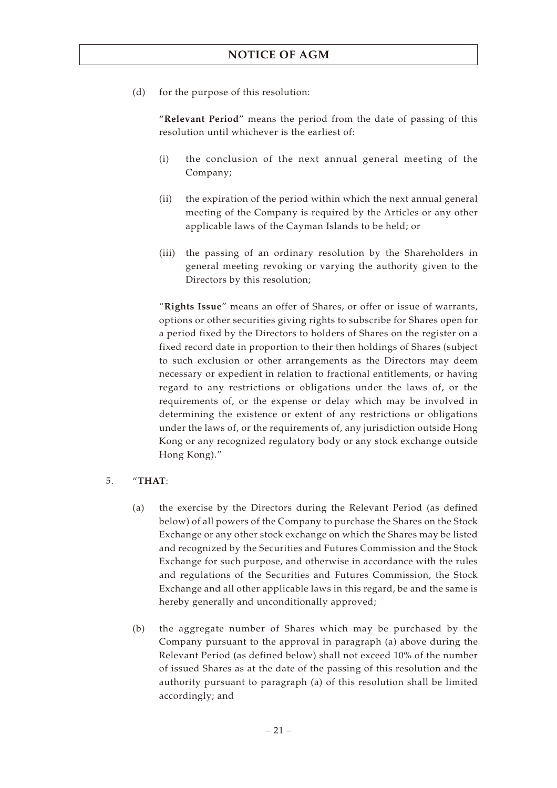(d) for the purpose of this resolution:

"**Relevant Period**" means the period from the date of passing of this resolution until whichever is the earliest of:

- (i) the conclusion of the next annual general meeting of the Company;
- (ii) the expiration of the period within which the next annual general meeting of the Company is required by the Articles or any other applicable laws of the Cayman Islands to be held; or
- (iii) the passing of an ordinary resolution by the Shareholders in general meeting revoking or varying the authority given to the Directors by this resolution;

"**Rights Issue**" means an offer of Shares, or offer or issue of warrants, options or other securities giving rights to subscribe for Shares open for a period fixed by the Directors to holders of Shares on the register on a fixed record date in proportion to their then holdings of Shares (subject to such exclusion or other arrangements as the Directors may deem necessary or expedient in relation to fractional entitlements, or having regard to any restrictions or obligations under the laws of, or the requirements of, or the expense or delay which may be involved in determining the existence or extent of any restrictions or obligations under the laws of, or the requirements of, any jurisdiction outside Hong Kong or any recognized regulatory body or any stock exchange outside Hong Kong)."

#### 5. "**THAT**:

- (a) the exercise by the Directors during the Relevant Period (as defined below) of all powers of the Company to purchase the Shares on the Stock Exchange or any other stock exchange on which the Shares may be listed and recognized by the Securities and Futures Commission and the Stock Exchange for such purpose, and otherwise in accordance with the rules and regulations of the Securities and Futures Commission, the Stock Exchange and all other applicable laws in this regard, be and the same is hereby generally and unconditionally approved;
- (b) the aggregate number of Shares which may be purchased by the Company pursuant to the approval in paragraph (a) above during the Relevant Period (as defined below) shall not exceed 10% of the number of issued Shares as at the date of the passing of this resolution and the authority pursuant to paragraph (a) of this resolution shall be limited accordingly; and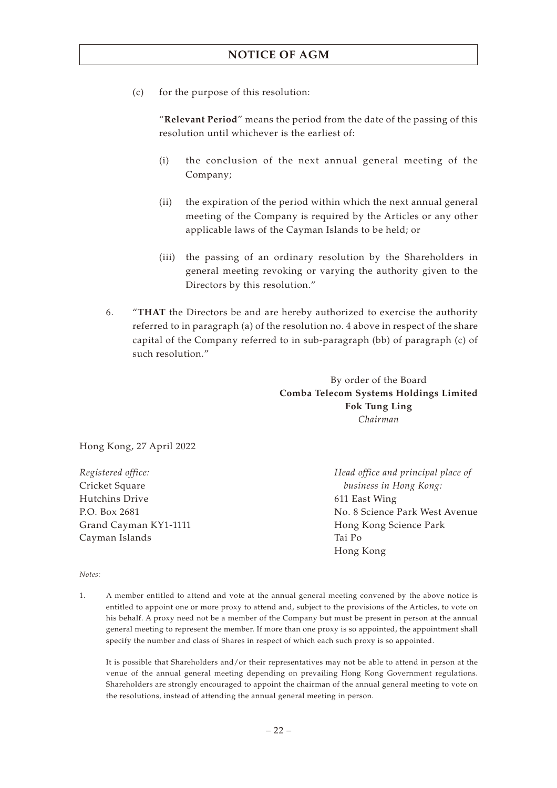(c) for the purpose of this resolution:

"**Relevant Period**" means the period from the date of the passing of this resolution until whichever is the earliest of:

- (i) the conclusion of the next annual general meeting of the Company;
- (ii) the expiration of the period within which the next annual general meeting of the Company is required by the Articles or any other applicable laws of the Cayman Islands to be held; or
- (iii) the passing of an ordinary resolution by the Shareholders in general meeting revoking or varying the authority given to the Directors by this resolution."
- 6. "**THAT** the Directors be and are hereby authorized to exercise the authority referred to in paragraph (a) of the resolution no. 4 above in respect of the share capital of the Company referred to in sub-paragraph (bb) of paragraph (c) of such resolution."

By order of the Board **Comba Telecom Systems Holdings Limited Fok Tung Ling** *Chairman*

Hong Kong, 27 April 2022

*Registered office:* Cricket Square Hutchins Drive P.O. Box 2681 Grand Cayman KY1-1111 Cayman Islands

*Head office and principal place of business in Hong Kong:* 611 East Wing No. 8 Science Park West Avenue Hong Kong Science Park Tai Po Hong Kong

*Notes:*

1. A member entitled to attend and vote at the annual general meeting convened by the above notice is entitled to appoint one or more proxy to attend and, subject to the provisions of the Articles, to vote on his behalf. A proxy need not be a member of the Company but must be present in person at the annual general meeting to represent the member. If more than one proxy is so appointed, the appointment shall specify the number and class of Shares in respect of which each such proxy is so appointed.

It is possible that Shareholders and/or their representatives may not be able to attend in person at the venue of the annual general meeting depending on prevailing Hong Kong Government regulations. Shareholders are strongly encouraged to appoint the chairman of the annual general meeting to vote on the resolutions, instead of attending the annual general meeting in person.